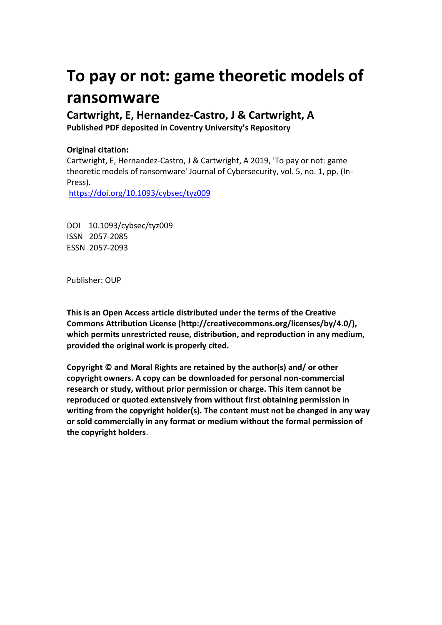# **To pay or not: game theoretic models of ransomware**

## **Cartwright, E, Hernandez-Castro, J & Cartwright, A Published PDF deposited in Coventry University's Repository**

### **Original citation:**

Cartwright, E, Hernandez-Castro, J & Cartwright, A 2019, 'To pay or not: game theoretic models of ransomware' Journal of Cybersecurity, vol. 5, no. 1, pp. (In-Press).

<https://doi.org/10.1093/cybsec/tyz009>

DOI 10.1093/cybsec/tyz009 ISSN 2057-2085 ESSN 2057-2093

Publisher: OUP

**This is an Open Access article distributed under the terms of the Creative Commons Attribution License (http://creativecommons.org/licenses/by/4.0/), which permits unrestricted reuse, distribution, and reproduction in any medium, provided the original work is properly cited.**

**Copyright © and Moral Rights are retained by the author(s) and/ or other copyright owners. A copy can be downloaded for personal non-commercial research or study, without prior permission or charge. This item cannot be reproduced or quoted extensively from without first obtaining permission in writing from the copyright holder(s). The content must not be changed in any way or sold commercially in any format or medium without the formal permission of the copyright holders**.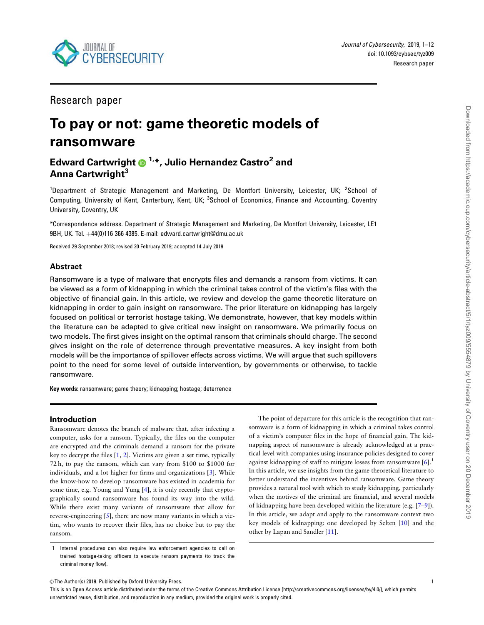<span id="page-1-0"></span>

## Research paper

## To pay or not: game theoretic models of ransomware

## Edward Cartwright  $\odot$  <sup>1,\*</sup>, Julio Hernandez Castro<sup>2</sup> and Anna Cartwright<sup>3</sup>

<sup>1</sup>Department of Strategic Management and Marketing, De Montfort University, Leicester, UK; <sup>2</sup>School of Computing, University of Kent, Canterbury, Kent, UK; <sup>3</sup>School of Economics, Finance and Accounting, Coventry University, Coventry, UK

\*Correspondence address. Department of Strategic Management and Marketing, De Montfort University, Leicester, LE1 9BH, UK. Tel.  $+44(0)$ 116 366 4385. E-mail: edward.cartwright@dmu.ac.uk

Received 29 September 2018; revised 20 February 2019; accepted 14 July 2019

#### Abstract

Ransomware is a type of malware that encrypts files and demands a ransom from victims. It can be viewed as a form of kidnapping in which the criminal takes control of the victim's files with the objective of financial gain. In this article, we review and develop the game theoretic literature on kidnapping in order to gain insight on ransomware. The prior literature on kidnapping has largely focused on political or terrorist hostage taking. We demonstrate, however, that key models within the literature can be adapted to give critical new insight on ransomware. We primarily focus on two models. The first gives insight on the optimal ransom that criminals should charge. The second gives insight on the role of deterrence through preventative measures. A key insight from both models will be the importance of spillover effects across victims. We will argue that such spillovers point to the need for some level of outside intervention, by governments or otherwise, to tackle ransomware.

Key words: ransomware; game theory; kidnapping; hostage; deterrence

#### Introduction

Ransomware denotes the branch of malware that, after infecting a computer, asks for a ransom. Typically, the files on the computer are encrypted and the criminals demand a ransom for the private key to decrypt the files [[1](#page-11-0), [2](#page-11-0)]. Victims are given a set time, typically 72 h, to pay the ransom, which can vary from \$100 to \$1000 for individuals, and a lot higher for firms and organizations [[3](#page-11-0)]. While the know-how to develop ransomware has existed in academia for some time, e.g. Young and Yung [\[4](#page-11-0)], it is only recently that cryptographically sound ransomware has found its way into the wild. While there exist many variants of ransomware that allow for reverse-engineering [\[5\]](#page-11-0), there are now many variants in which a victim, who wants to recover their files, has no choice but to pay the ransom.

The point of departure for this article is the recognition that ransomware is a form of kidnapping in which a criminal takes control of a victim's computer files in the hope of financial gain. The kidnapping aspect of ransomware is already acknowledged at a practical level with companies using insurance policies designed to cover against kidnapping of staff to mitigate losses from ransomware  $[6]$  $[6]$ .<sup>1</sup> In this article, we use insights from the game theoretical literature to better understand the incentives behind ransomware. Game theory provides a natural tool with which to study kidnapping, particularly when the motives of the criminal are financial, and several models of kidnapping have been developed within the literature (e.g. [[7–9\]](#page-11-0)). In this article, we adapt and apply to the ransomware context two key models of kidnapping: one developed by Selten [\[10\]](#page-11-0) and the other by Lapan and Sandler [\[11](#page-11-0)].

 $\heartsuit$ The Author(s) 2019. Published by Oxford University Press. 1

<sup>1</sup> Internal procedures can also require law enforcement agencies to call on trained hostage-taking officers to execute ransom payments (to track the criminal money flow).

This is an Open Access article distributed under the terms of the Creative Commons Attribution License (http://creativecommons.org/licenses/by/4.0/), which permits unrestricted reuse, distribution, and reproduction in any medium, provided the original work is properly cited.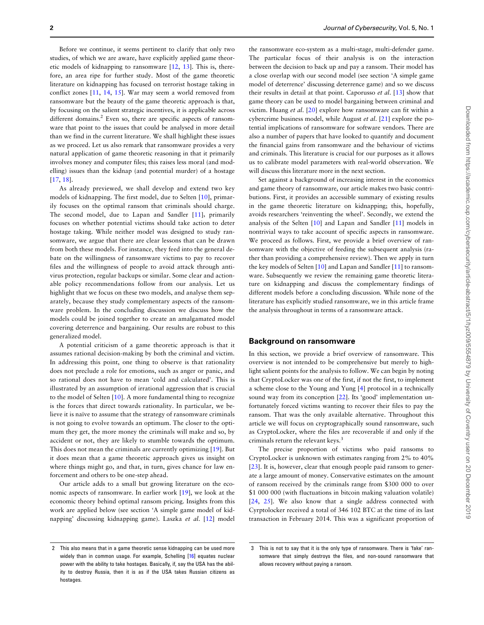<span id="page-2-0"></span>Before we continue, it seems pertinent to clarify that only two studies, of which we are aware, have explicitly applied game theoretic models of kidnapping to ransomware [[12,](#page-11-0) [13](#page-11-0)]. This is, therefore, an area ripe for further study. Most of the game theoretic literature on kidnapping has focused on terrorist hostage taking in conflict zones [[11](#page-11-0), [14,](#page-11-0) [15\]](#page-11-0). War may seem a world removed from ransomware but the beauty of the game theoretic approach is that, by focusing on the salient strategic incentives, it is applicable across different domains.<sup>2</sup> Even so, there are specific aspects of ransomware that point to the issues that could be analysed in more detail than we find in the current literature. We shall highlight these issues as we proceed. Let us also remark that ransomware provides a very natural application of game theoretic reasoning in that it primarily involves money and computer files; this raises less moral (and modelling) issues than the kidnap (and potential murder) of a hostage [[17,](#page-11-0) [18\]](#page-11-0).

As already previewed, we shall develop and extend two key models of kidnapping. The first model, due to Selten [[10](#page-11-0)], primarily focuses on the optimal ransom that criminals should charge. The second model, due to Lapan and Sandler [[11\]](#page-11-0), primarily focuses on whether potential victims should take action to deter hostage taking. While neither model was designed to study ransomware, we argue that there are clear lessons that can be drawn from both these models. For instance, they feed into the general debate on the willingness of ransomware victims to pay to recover files and the willingness of people to avoid attack through antivirus protection, regular backups or similar. Some clear and actionable policy recommendations follow from our analysis. Let us highlight that we focus on these two models, and analyse them separately, because they study complementary aspects of the ransomware problem. In the concluding discussion we discuss how the models could be joined together to create an amalgamated model covering deterrence and bargaining. Our results are robust to this generalized model.

A potential criticism of a game theoretic approach is that it assumes rational decision-making by both the criminal and victim. In addressing this point, one thing to observe is that rationality does not preclude a role for emotions, such as anger or panic, and so rational does not have to mean 'cold and calculated'. This is illustrated by an assumption of irrational aggression that is crucial to the model of Selten [\[10](#page-11-0)]. A more fundamental thing to recognize is the forces that direct towards rationality. In particular, we believe it is naïve to assume that the strategy of ransomware criminals is not going to evolve towards an optimum. The closer to the optimum they get, the more money the criminals will make and so, by accident or not, they are likely to stumble towards the optimum. This does not mean the criminals are currently optimizing [[19\]](#page-11-0). But it does mean that a game theoretic approach gives us insight on where things might go, and that, in turn, gives chance for law enforcement and others to be one-step ahead.

Our article adds to a small but growing literature on the economic aspects of ransomware. In earlier work [[19\]](#page-11-0), we look at the economic theory behind optimal ransom pricing. Insights from this work are applied below (see section 'A simple game model of kidnapping' discussing kidnapping game). Laszka et al. [\[12](#page-11-0)] model

the ransomware eco-system as a multi-stage, multi-defender game. The particular focus of their analysis is on the interaction between the decision to back up and pay a ransom. Their model has a close overlap with our second model (see section 'A simple game model of deterrence' discussing deterrence game) and so we discuss their results in detail at that point. Caporusso et al. [\[13](#page-11-0)] show that game theory can be used to model bargaining between criminal and victim. Huang et al. [\[20\]](#page-11-0) explore how ransomware can fit within a cybercrime business model, while August et al. [\[21](#page-11-0)] explore the potential implications of ransomware for software vendors. There are also a number of papers that have looked to quantify and document the financial gains from ransomware and the behaviour of victims and criminals. This literature is crucial for our purposes as it allows us to calibrate model parameters with real-world observation. We will discuss this literature more in the next section.

Set against a background of increasing interest in the economics and game theory of ransomware, our article makes two basic contributions. First, it provides an accessible summary of existing results in the game theoretic literature on kidnapping; this, hopefully, avoids researchers 'reinventing the wheel'. Secondly, we extend the analysis of the Selten [\[10](#page-11-0)] and Lapan and Sandler [\[11\]](#page-11-0) models in nontrivial ways to take account of specific aspects in ransomware. We proceed as follows. First, we provide a brief overview of ransomware with the objective of feeding the subsequent analysis (rather than providing a comprehensive review). Then we apply in turn the key models of Selten [[10\]](#page-11-0) and Lapan and Sandler [[11](#page-11-0)] to ransomware. Subsequently we review the remaining game theoretic literature on kidnapping and discuss the complementary findings of different models before a concluding discussion. While none of the literature has explicitly studied ransomware, we in this article frame the analysis throughout in terms of a ransomware attack.

#### Background on ransomware

In this section, we provide a brief overview of ransomware. This overview is not intended to be comprehensive but merely to highlight salient points for the analysis to follow. We can begin by noting that CryptoLocker was one of the first, if not the first, to implement a scheme close to the Young and Yung [\[4\]](#page-11-0) protocol in a technically sound way from its conception [[22\]](#page-11-0). Its 'good' implementation unfortunately forced victims wanting to recover their files to pay the ransom. That was the only available alternative. Throughout this article we will focus on cryptographically sound ransomware, such as CryptoLocker, where the files are recoverable if and only if the criminals return the relevant keys.<sup>3</sup>

The precise proportion of victims who paid ransoms to CryptoLocker is unknown with estimates ranging from 2% to 40% [[23\]](#page-11-0). It is, however, clear that enough people paid ransom to generate a large amount of money. Conservative estimates on the amount of ransom received by the criminals range from \$300 000 to over \$1,000,000 (with fluctuations in bitcoin making valuation volatile) [[24,](#page-11-0) [25\]](#page-11-0). We also know that a single address connected with Cyrptolocker received a total of 346 102 BTC at the time of its last transaction in February 2014. This was a significant proportion of

<sup>2</sup> This also means that in a game theoretic sense kidnapping can be used more widely than in common usage. For example, Schelling [\[16\]](#page-11-0) equates nuclear power with the ability to take hostages. Basically, if, say the USA has the ability to destroy Russia, then it is as if the USA takes Russian citizens as hostages.

<sup>3</sup> This is not to say that it is the only type of ransomware. There is 'fake' ransomware that simply destroys the files, and non-sound ransomware that allows recovery without paying a ransom.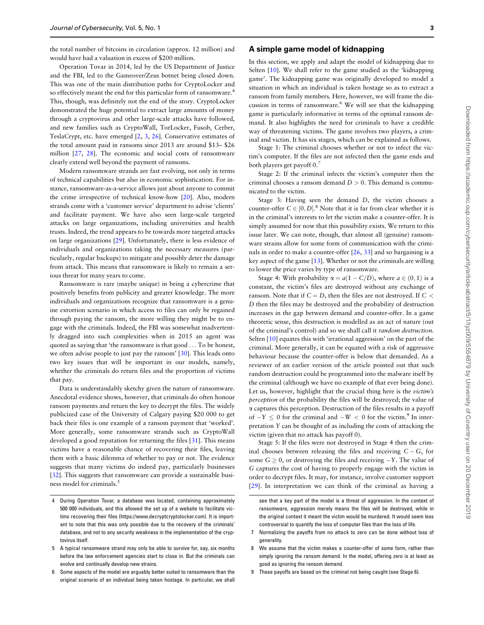<span id="page-3-0"></span>the total number of bitcoins in circulation (approx. 12 million) and would have had a valuation in excess of \$200 million.

Operation Tovar in 2014, led by the US Department of Justice and the FBI, led to the Gameover/Zeus botnet being closed down. This was one of the main distribution paths for CryptoLocker and so effectively meant the end for this particular form of ransomware.<sup>4</sup> This, though, was definitely not the end of the story. CryptoLocker demonstrated the huge potential to extract large amounts of money through a cryptovirus and other large-scale attacks have followed, and new families such as CryptoWall, TorLocker, Fusob, Cerber, TeslaCrypt, etc. have emerged [[2,](#page-11-0) [3](#page-11-0), [26\]](#page-11-0). Conservative estimates of the total amount paid in ransoms since 2013 are around \$13– \$26 million [\[27](#page-11-0), [28](#page-11-0)]. The economic and social costs of ransomware clearly extend well beyond the payment of ransoms.

Modern ransomware strands are fast evolving, not only in terms of technical capabilities but also in economic sophistication. For instance, ransomware-as-a-service allows just about anyone to commit the crime irrespective of technical know-how [[20\]](#page-11-0). Also, modern strands come with a 'customer service' department to advise 'clients' and facilitate payment. We have also seen large-scale targeted attacks on large organizations, including universities and health trusts. Indeed, the trend appears to be towards more targeted attacks on large organizations [[29\]](#page-11-0). Unfortunately, there is less evidence of individuals and organizations taking the necessary measures (particularly, regular backups) to mitigate and possibly deter the damage from attack. This means that ransomware is likely to remain a serious threat for many years to come.

Ransomware is rare (maybe unique) in being a cybercrime that positively benefits from publicity and greater knowledge. The more individuals and organizations recognize that ransomware is a genuine extortion scenario in which access to files can only be regained through paying the ransom, the more willing they might be to engage with the criminals. Indeed, the FBI was somewhat inadvertently dragged into such complexities when in 2015 an agent was quoted as saying that 'the ransomware is that good . . . To be honest, we often advise people to just pay the ransom' [\[30](#page-11-0)]. This leads onto two key issues that will be important in our models, namely, whether the criminals do return files and the proportion of victims that pay.

Data is understandably sketchy given the nature of ransomware. Anecdotal evidence shows, however, that criminals do often honour ransom payments and return the key to decrypt the files. The widely publicized case of the University of Calgary paying \$20 000 to get back their files is one example of a ransom payment that 'worked'. More generally, some ransomware strands such as CryptoWall developed a good reputation for returning the files [\[31\]](#page-11-0). This means victims have a reasonable chance of recovering their files, leaving them with a basic dilemma of whether to pay or not. The evidence suggests that many victims do indeed pay, particularly businesses [[32\]](#page-11-0). This suggests that ransomware can provide a sustainable business model for criminals.<sup>5</sup>

- 4 During Operation Tovar, a database was located, containing approximately 500 000 individuals, and this allowed the set up of a website to facilitate victims recovering their files (https://www.decryptcryptolocker.com). It is important to note that this was only possible due to the recovery of the criminals' database, and not to any security weakness in the implementation of the cryptovirus itself.
- 5 A typical ransomware strand may only be able to survive for, say, six months before the law enforcement agencies start to close in. But the criminals can evolve and continually develop new strains.
- 6 Some aspects of the model are arguably better suited to ransomware than the original scenario of an individual being taken hostage. In particular, we shall

#### A simple game model of kidnapping

In this section, we apply and adapt the model of kidnapping due to Selten [\[10](#page-11-0)]. We shall refer to the game studied as the 'kidnapping game'. The kidnapping game was originally developed to model a situation in which an individual is taken hostage so as to extract a ransom from family members. Here, however, we will frame the discussion in terms of ransomware.6 We will see that the kidnapping game is particularly informative in terms of the optimal ransom demand. It also highlights the need for criminals to have a credible way of threatening victims. The game involves two players, a criminal and victim. It has six stages, which can be explained as follows.

Stage 1: The criminal chooses whether or not to infect the victim's computer. If the files are not infected then the game ends and both players get payoff 0.7

Stage 2: If the criminal infects the victim's computer then the criminal chooses a ransom demand  $D > 0$ . This demand is communicated to the victim.

Stage 3: Having seen the demand D, the victim chooses a counter-offer  $C \in [0, D]$ .<sup>8</sup> Note that it is far from clear whether it is in the criminal's interests to let the victim make a counter-offer. It is simply assumed for now that this possibility exists. We return to this issue later. We can note, though, that almost all (genuine) ransomware strains allow for some form of communication with the criminals in order to make a counter-offer [\[26,](#page-11-0) [33](#page-11-0)] and so bargaining is a key aspect of the game [[13\]](#page-11-0). Whether or not the criminals are willing to lower the price varies by type of ransomware.

Stage 4: With probability  $\alpha = a(1 - C/D)$ , where  $a \in (0, 1)$  is a constant, the victim's files are destroyed without any exchange of ransom. Note that if  $C = D$ , then the files are not destroyed. If  $C <$ D then the files may be destroyed and the probability of destruction increases in the gap between demand and counter-offer. In a game theoretic sense, this destruction is modelled as an act of nature (out of the criminal's control) and so we shall call it random destruction. Selten [\[10](#page-11-0)] equates this with 'irrational aggression' on the part of the criminal. More generally, it can be equated with a risk of aggressive behaviour because the counter-offer is below that demanded. As a reviewer of an earlier version of the article pointed out that such random destruction could be programmed into the malware itself by the criminal (although we have no example of that ever being done). Let us, however, highlight that the crucial thing here is the victim's perception of the probability the files will be destroyed; the value of a captures this perception. Destruction of the files results in a payoff of  $-Y \le 0$  for the criminal and  $-W < 0$  for the victim.<sup>9</sup> In interpretation Y can be thought of as including the costs of attacking the victim (given that no attack has payoff 0).

Stage 5: If the files were not destroyed in Stage 4 then the criminal chooses between releasing the files and receiving  $C - G$ , for some  $G \geq 0$ , or destroying the files and receiving  $-Y$ . The value of G captures the cost of having to properly engage with the victim in order to decrypt files. It may, for instance, involve customer support [[29\]](#page-11-0). In interpretation we can think of the criminal as having a

9 These payoffs are based on the criminal not being caught (see Stage 6).

see that a key part of the model is a threat of aggression. In the context of ransomware, aggression merely means the files will be destroyed, while in the original context it meant the victim would be murdered. It would seem less controversial to quantify the loss of computer files than the loss of life.

<sup>7</sup> Normalizing the payoffs from no attack to zero can be done without loss of generality.

<sup>8</sup> We assume that the victim makes a counter-offer of some form, rather than simply ignoring the ransom demand. In the model, offering zero is at least as good as ignoring the ransom demand.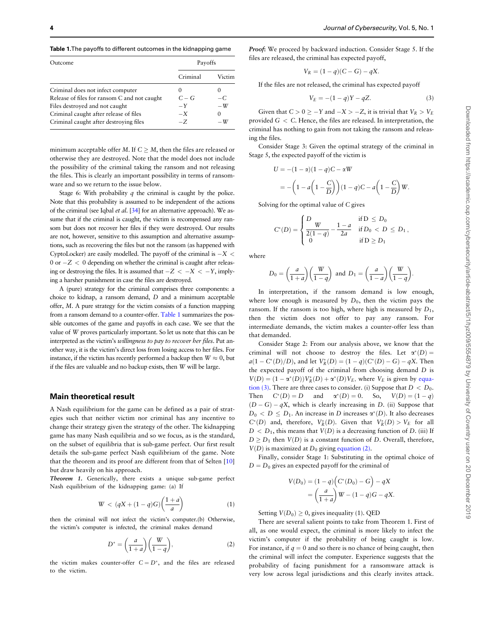<span id="page-4-0"></span>Table 1.The payoffs to different outcomes in the kidnapping game

| Outcome                                      | Payoffs  |          |
|----------------------------------------------|----------|----------|
|                                              | Criminal | Victim   |
| Criminal does not infect computer            | $\theta$ | $\theta$ |
| Release of files for ransom C and not caught | $C-G$    | $-C$     |
| Files destroyed and not caught               | $-Y$     | $-W$     |
| Criminal caught after release of files       | $-X$     | $\Omega$ |
| Criminal caught after destroying files       | $-Z$     | – W      |

minimum acceptable offer M. If  $C \geq M$ , then the files are released or otherwise they are destroyed. Note that the model does not include the possibility of the criminal taking the ransom and not releasing the files. This is clearly an important possibility in terms of ransomware and so we return to the issue below.

Stage 6: With probability  $q$  the criminal is caught by the police. Note that this probability is assumed to be independent of the actions of the criminal (see Iqbal et al. [\[34\]](#page-11-0) for an alternative approach). We assume that if the criminal is caught, the victim is recompensed any ransom but does not recover her files if they were destroyed. Our results are not, however, sensitive to this assumption and alternative assumptions, such as recovering the files but not the ransom (as happened with CyptoLocker) are easily modelled. The payoff of the criminal is  $-X <$  $0$  or  $-Z < 0$  depending on whether the criminal is caught after releasing or destroying the files. It is assumed that  $-Z < -X < -Y$ , implying a harsher punishment in case the files are destroyed.

A (pure) strategy for the criminal comprises three components: a choice to kidnap, a ransom demand, D and a minimum acceptable offer, M. A pure strategy for the victim consists of a function mapping from a ransom demand to a counter-offer. Table 1 summarizes the possible outcomes of the game and payoffs in each case. We see that the value of W proves particularly important. So let us note that this can be interpreted as the victim's willingness to pay to recover her files. Put another way, it is the victim's direct loss from losing access to her files. For instance, if the victim has recently performed a backup then  $W \approx 0$ , but if the files are valuable and no backup exists, then W will be large.

#### Main theoretical result

A Nash equilibrium for the game can be defined as a pair of strategies such that neither victim nor criminal has any incentive to change their strategy given the strategy of the other. The kidnapping game has many Nash equilibria and so we focus, as is the standard, on the subset of equilibria that is sub-game perfect. Our first result details the sub-game perfect Nash equilibrium of the game. Note that the theorem and its proof are different from that of Selten [[10](#page-11-0)] but draw heavily on his approach.

Theorem 1. Generically, there exists a unique sub-game perfect Nash equilibrium of the kidnapping game: (a) If

$$
W < (qX + (1-q)G)\left(\frac{1+a}{a}\right) \tag{1}
$$

then the criminal will not infect the victim's computer.(b) Otherwise, the victim's computer is infected, the criminal makes demand

$$
D^* = \left(\frac{a}{1+a}\right)\left(\frac{W}{1-q}\right),\tag{2}
$$

the victim makes counter-offer  $C = D^*$ , and the files are released to the victim.

Proof: We proceed by backward induction. Consider Stage 5. If the files are released, the criminal has expected payoff,

$$
V_R = (1 - q)(C - G) - qX.
$$

If the files are not released, the criminal has expected payoff

$$
V_E = -(1 - q)Y - qZ.
$$
 (3)

Given that  $C > 0 \ge -Y$  and  $-X > -Z$ , it is trivial that  $V_R > V_E$ provided  $G < C$ . Hence, the files are released. In interpretation, the criminal has nothing to gain from not taking the ransom and releasing the files.

Consider Stage 3: Given the optimal strategy of the criminal in Stage 5, the expected payoff of the victim is

$$
U = -(1 - \alpha)(1 - q)C - \alpha W
$$
  
=  $-(1 - a(1 - \frac{C}{D}))(1 - q)C - a(1 - \frac{C}{D})W.$ 

Solving for the optimal value of C gives

$$
C^*(D) = \begin{cases} D & \text{if } D \leq D_0 \\ \frac{2(1-q)}{2} - \frac{1-a}{2a} & \text{if } D_0 < D \leq D_1 \\ 0 & \text{if } D \geq D_1 \end{cases}
$$

where

$$
D_0 = \left(\frac{a}{1+a}\right)\left(\frac{W}{1-q}\right) \text{ and } D_1 = \left(\frac{a}{1-a}\right)\left(\frac{W}{1-q}\right).
$$

In interpretation, if the ransom demand is low enough, where low enough is measured by  $D_0$ , then the victim pays the ransom. If the ransom is too high, where high is measured by  $D_1$ , then the victim does not offer to pay any ransom. For intermediate demands, the victim makes a counter-offer less than that demanded.

Consider Stage 2: From our analysis above, we know that the criminal will not choose to destroy the files. Let  $\alpha^*(D) =$  $a(1 - C<sup>*</sup>(D)/D)$ , and let  $V<sub>R</sub><sup>*</sup>(D) = (1 - q)(C<sup>*</sup>(D) - G) - qX$ . Then the expected payoff of the criminal from choosing demand D is  $V(D) = (1 - \alpha^*(D))V_R^*(D) + \alpha^*(D)V_E$ , where  $V_E$  is given by equation (3). There are three cases to consider. (i) Suppose that  $D < D_0$ . Then  $C^*(D) = D$  and  $\alpha^*(D) = 0$ . So,  $V(D) = (1 - q)$  $(D - G) - qX$ , which is clearly increasing in D. (ii) Suppose that  $D_0 < D \leq D_1$ . An increase in D increases  $\alpha^*(D)$ . It also decreases  $C^*(D)$  and, therefore,  $V_R^*(D)$ . Given that  $V_R^*(D) > V_E$  for all  $D < D_1$ , this means that  $V(D)$  is a decreasing function of D. (iii) If  $D > D_1$  then  $V(D)$  is a constant function of D. Overall, therefore,  $V(D)$  is maximized at  $D_0$  giving equation (2).

Finally, consider Stage 1: Substituting in the optimal choice of  $D = D_0$  gives an expected payoff for the criminal of

$$
V(D_0) = (1-q)\Big(C^*(D_0) - G\Big) - qX
$$
  
=  $\left(\frac{a}{1+a}\right)W - (1-q)G - qX.$ 

Setting  $V(D_0) \geq 0$ , gives inequality (1). QED

There are several salient points to take from Theorem 1. First of all, as one would expect, the criminal is more likely to infect the victim's computer if the probability of being caught is low. For instance, if  $q = 0$  and so there is no chance of being caught, then the criminal will infect the computer. Experience suggests that the probability of facing punishment for a ransomware attack is very low across legal jurisdictions and this clearly invites attack.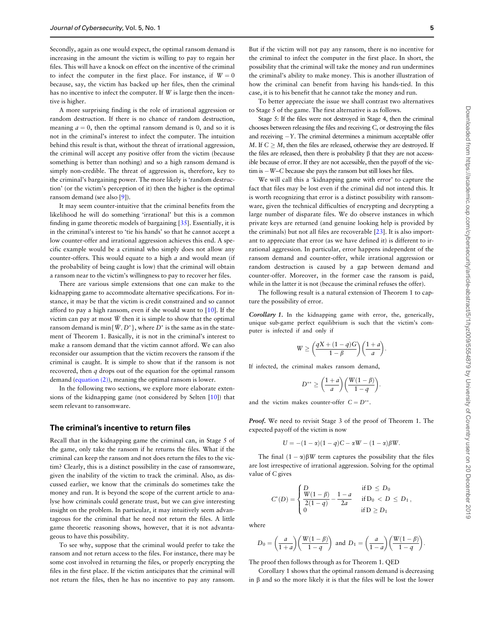<span id="page-5-0"></span>Secondly, again as one would expect, the optimal ransom demand is increasing in the amount the victim is willing to pay to regain her files. This will have a knock on effect on the incentive of the criminal to infect the computer in the first place. For instance, if  $W = 0$ because, say, the victim has backed up her files, then the criminal has no incentive to infect the computer. If W is large then the incentive is higher.

A more surprising finding is the role of irrational aggression or random destruction. If there is no chance of random destruction, meaning  $a = 0$ , then the optimal ransom demand is 0, and so it is not in the criminal's interest to infect the computer. The intuition behind this result is that, without the threat of irrational aggression, the criminal will accept any positive offer from the victim (because something is better than nothing) and so a high ransom demand is simply non-credible. The threat of aggression is, therefore, key to the criminal's bargaining power. The more likely is 'random destruction' (or the victim's perception of it) then the higher is the optimal ransom demand (see also [\[9\]](#page-11-0)).

It may seem counter-intuitive that the criminal benefits from the likelihood he will do something 'irrational' but this is a common finding in game theoretic models of bargaining [\[35\]](#page-11-0). Essentially, it is in the criminal's interest to 'tie his hands' so that he cannot accept a low counter-offer and irrational aggression achieves this end. A specific example would be a criminal who simply does not allow any counter-offers. This would equate to a high  $a$  and would mean (if the probability of being caught is low) that the criminal will obtain a ransom near to the victim's willingness to pay to recover her files.

There are various simple extensions that one can make to the kidnapping game to accommodate alternative specifications. For instance, it may be that the victim is credit constrained and so cannot afford to pay a high ransom, even if she would want to [\[10](#page-11-0)]. If the victim can pay at most  $\bar{W}$  then it is simple to show that the optimal ransom demand is min $\{\bar{W}, D^*\}$ , where  $D^*$  is the same as in the statement of Theorem 1. Basically, it is not in the criminal's interest to make a ransom demand that the victim cannot afford. We can also reconsider our assumption that the victim recovers the ransom if the criminal is caught. It is simple to show that if the ransom is not recovered, then q drops out of the equation for the optimal ransom demand [\(equation \(2\)](#page-4-0)), meaning the optimal ransom is lower.

In the following two sections, we explore more elaborate extensions of the kidnapping game (not considered by Selten [\[10\]](#page-11-0)) that seem relevant to ransomware.

#### The criminal's incentive to return files

Recall that in the kidnapping game the criminal can, in Stage 5 of the game, only take the ransom if he returns the files. What if the criminal can keep the ransom and not does return the files to the victim? Clearly, this is a distinct possibility in the case of ransomware, given the inability of the victim to track the criminal. Also, as discussed earlier, we know that the criminals do sometimes take the money and run. It is beyond the scope of the current article to analyse how criminals could generate trust, but we can give interesting insight on the problem. In particular, it may intuitively seem advantageous for the criminal that he need not return the files. A little game theoretic reasoning shows, however, that it is not advantageous to have this possibility.

To see why, suppose that the criminal would prefer to take the ransom and not return access to the files. For instance, there may be some cost involved in returning the files, or properly encrypting the files in the first place. If the victim anticipates that the criminal will not return the files, then he has no incentive to pay any ransom.

But if the victim will not pay any ransom, there is no incentive for the criminal to infect the computer in the first place. In short, the possibility that the criminal will take the money and run undermines the criminal's ability to make money. This is another illustration of how the criminal can benefit from having his hands-tied. In this case, it is to his benefit that he cannot take the money and run.

To better appreciate the issue we shall contrast two alternatives to Stage 5 of the game. The first alternative is as follows.

Stage 5: If the files were not destroyed in Stage 4, then the criminal chooses between releasing the files and receiving C, or destroying the files and receiving  $-Y$ . The criminal determines a minimum acceptable offer M. If  $C \geq M$ , then the files are released, otherwise they are destroyed. If the files are released, then there is probability  $\beta$  that they are not accessible because of error. If they are not accessible, then the payoff of the victim is  $-W-C$  because she pays the ransom but still loses her files.

We will call this a 'kidnapping game with error' to capture the fact that files may be lost even if the criminal did not intend this. It is worth recognizing that error is a distinct possibility with ransomware, given the technical difficulties of encrypting and decrypting a large number of disparate files. We do observe instances in which private keys are returned (and genuine looking help is provided by the criminals) but not all files are recoverable [[23\]](#page-11-0). It is also important to appreciate that error (as we have defined it) is different to irrational aggression. In particular, error happens independent of the ransom demand and counter-offer, while irrational aggression or random destruction is caused by a gap between demand and counter-offer. Moreover, in the former case the ransom is paid, while in the latter it is not (because the criminal refuses the offer).

The following result is a natural extension of Theorem 1 to capture the possibility of error.

Corollary 1. In the kidnapping game with error, the, generically, unique sub-game perfect equilibrium is such that the victim's computer is infected if and only if

$$
W \ge \left(\frac{qX + (1-q)G}{1-\beta}\right)\left(\frac{1+a}{a}\right).
$$

If infected, the criminal makes ransom demand,

$$
D^{**} \ge \left(\frac{1+a}{a}\right) \left(\frac{W(1-\beta)}{1-q}\right).
$$

and the victim makes counter-offer  $C = D^{**}$ .

Proof. We need to revisit Stage 3 of the proof of Theorem 1. The expected payoff of the victim is now

$$
U = -(1 - \alpha)(1 - q)C - \alpha W - (1 - \alpha)\beta W.
$$

The final  $(1 - \alpha)\beta W$  term captures the possibility that the files are lost irrespective of irrational aggression. Solving for the optimal value of C gives

$$
C^*(D) = \begin{cases} D & \text{if } D \le D_0 \\ \frac{W(1-\beta)}{2(1-q)} - \frac{1-a}{2a} & \text{if } D_0 < D \le D_1 \\ 0 & \text{if } D \ge D_1 \end{cases}
$$

where

$$
D_0 = \left(\frac{a}{1+a}\right) \left(\frac{W(1-\beta)}{1-q}\right) \text{ and } D_1 = \left(\frac{a}{1-a}\right) \left(\frac{W(1-\beta)}{1-q}\right).
$$

The proof then follows through as for Theorem 1. QED

Corollary 1 shows that the optimal ransom demand is decreasing in  $\beta$  and so the more likely it is that the files will be lost the lower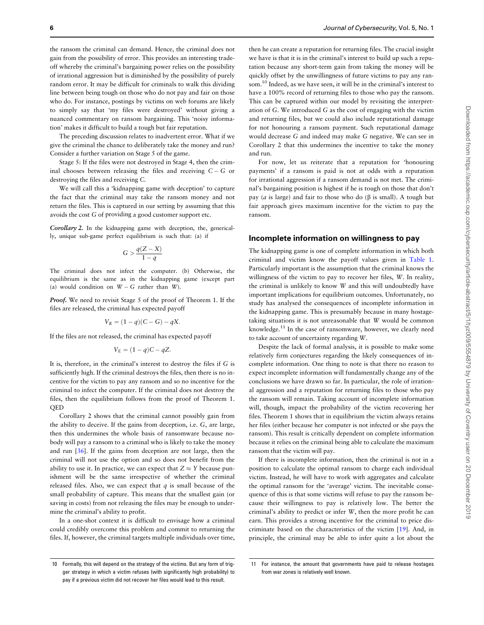<span id="page-6-0"></span>the ransom the criminal can demand. Hence, the criminal does not gain from the possibility of error. This provides an interesting tradeoff whereby the criminal's bargaining power relies on the possibility of irrational aggression but is diminished by the possibility of purely random error. It may be difficult for criminals to walk this dividing line between being tough on those who do not pay and fair on those who do. For instance, postings by victims on web forums are likely to simply say that 'my files were destroyed' without giving a nuanced commentary on ransom bargaining. This 'noisy information' makes it difficult to build a tough but fair reputation.

The preceding discussion relates to inadvertent error. What if we give the criminal the chance to deliberately take the money and run? Consider a further variation on Stage 5 of the game.

Stage 5: If the files were not destroyed in Stage 4, then the criminal chooses between releasing the files and receiving  $C - G$  or destroying the files and receiving C.

We will call this a 'kidnapping game with deception' to capture the fact that the criminal may take the ransom money and not return the files. This is captured in our setting by assuming that this avoids the cost G of providing a good customer support etc.

Corollary 2. In the kidnapping game with deception, the, generically, unique sub-game perfect equilibrium is such that: (a) if

$$
G > \frac{q(Z-X)}{1-q}
$$

The criminal does not infect the computer. (b) Otherwise, the equilibrium is the same as in the kidnapping game (except part (a) would condition on  $W - G$  rather than W).

**Proof.** We need to revisit Stage 5 of the proof of Theorem 1. If the files are released, the criminal has expected payoff

$$
V_R = (1-q)(C-G) - qX.
$$

If the files are not released, the criminal has expected payoff

$$
V_E = (1 - q)C - qZ.
$$

It is, therefore, in the criminal's interest to destroy the files if G is sufficiently high. If the criminal destroys the files, then there is no incentive for the victim to pay any ransom and so no incentive for the criminal to infect the computer. If the criminal does not destroy the files, then the equilibrium follows from the proof of Theorem 1. QED

Corollary 2 shows that the criminal cannot possibly gain from the ability to deceive. If the gains from deception, i.e. G, are large, then this undermines the whole basis of ransomware because nobody will pay a ransom to a criminal who is likely to take the money and run [[36](#page-11-0)]. If the gains from deception are not large, then the criminal will not use the option and so does not benefit from the ability to use it. In practice, we can expect that  $Z \approx Y$  because punishment will be the same irrespective of whether the criminal released files. Also, we can expect that  $q$  is small because of the small probability of capture. This means that the smallest gain (or saving in costs) from not releasing the files may be enough to undermine the criminal's ability to profit.

In a one-shot context it is difficult to envisage how a criminal could credibly overcome this problem and commit to returning the files. If, however, the criminal targets multiple individuals over time,

then he can create a reputation for returning files. The crucial insight we have is that it is in the criminal's interest to build up such a reputation because any short-term gain from taking the money will be quickly offset by the unwillingness of future victims to pay any ransom.10 Indeed, as we have seen, it will be in the criminal's interest to have a 100% record of returning files to those who pay the ransom. This can be captured within our model by revisiting the interpretation of G. We introduced G as the cost of engaging with the victim and returning files, but we could also include reputational damage for not honouring a ransom payment. Such reputational damage would decrease G and indeed may make G negative. We can see in Corollary 2 that this undermines the incentive to take the money and run.

For now, let us reiterate that a reputation for 'honouring payments' if a ransom is paid is not at odds with a reputation for irrational aggression if a ransom demand is not met. The criminal's bargaining position is highest if he is tough on those that don't pay (*a* is large) and fair to those who do ( $\beta$  is small). A tough but fair approach gives maximum incentive for the victim to pay the ransom.

#### Incomplete information on willingness to pay

The kidnapping game is one of complete information in which both criminal and victim know the payoff values given in [Table](#page-4-0) 1. Particularly important is the assumption that the criminal knows the willingness of the victim to pay to recover her files, W. In reality, the criminal is unlikely to know W and this will undoubtedly have important implications for equilibrium outcomes. Unfortunately, no study has analysed the consequences of incomplete information in the kidnapping game. This is presumably because in many hostagetaking situations it is not unreasonable that W would be common knowledge.<sup>11</sup> In the case of ransomware, however, we clearly need to take account of uncertainty regarding W.

Despite the lack of formal analysis, it is possible to make some relatively firm conjectures regarding the likely consequences of incomplete information. One thing to note is that there no reason to expect incomplete information will fundamentally change any of the conclusions we have drawn so far. In particular, the role of irrational aggression and a reputation for returning files to those who pay the ransom will remain. Taking account of incomplete information will, though, impact the probability of the victim recovering her files. Theorem 1 shows that in equilibrium the victim always retains her files (either because her computer is not infected or she pays the ransom). This result is critically dependent on complete information because it relies on the criminal being able to calculate the maximum ransom that the victim will pay.

If there is incomplete information, then the criminal is not in a position to calculate the optimal ransom to charge each individual victim. Instead, he will have to work with aggregates and calculate the optimal ransom for the 'average' victim. The inevitable consequence of this is that some victims will refuse to pay the ransom because their willingness to pay is relatively low. The better the criminal's ability to predict or infer W, then the more profit he can earn. This provides a strong incentive for the criminal to price discriminate based on the characteristics of the victim [[19\]](#page-11-0). And, in principle, the criminal may be able to infer quite a lot about the

<sup>10</sup> Formally, this will depend on the strategy of the victims. But any form of trigger strategy in which a victim refuses (with significantly high probability) to pay if a previous victim did not recover her files would lead to this result.

<sup>11</sup> For instance, the amount that governments have paid to release hostages from war zones is relatively well known.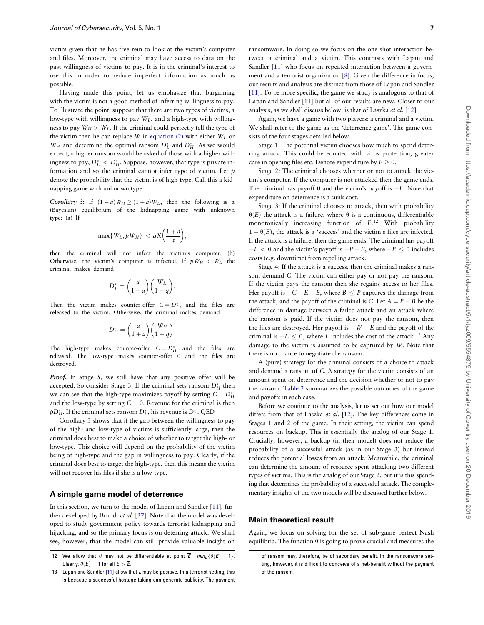<span id="page-7-0"></span>victim given that he has free rein to look at the victim's computer and files. Moreover, the criminal may have access to data on the past willingness of victims to pay. It is in the criminal's interest to use this in order to reduce imperfect information as much as possible.

Having made this point, let us emphasize that bargaining with the victim is not a good method of inferring willingness to pay. To illustrate the point, suppose that there are two types of victims, a low-type with willingness to pay  $W_L$ , and a high-type with willingness to pay  $W_H > W_L$ . If the criminal could perfectly tell the type of the victim then he can replace W in [equation \(2\)](#page-4-0) with either  $W_L$  or  $W_H$  and determine the optimal ransom  $D_L^*$  and  $D_H^*$ . As we would expect, a higher ransom would be asked of those with a higher willingness to pay,  $D_L^* < D_H^*$ . Suppose, however, that type is private information and so the criminal cannot infer type of victim. Let  $p$ denote the probability that the victim is of high-type. Call this a kidnapping game with unknown type.

Corollary 3: If  $(1 - a)W_H \ge (1 + a)W_L$ , then the following is a (Bayesian) equilibrium of the kidnapping game with unknown type: (a) If

$$
\max\{W_L, pW_H\} < qX\left(\frac{1+a}{a}\right),
$$

then the criminal will not infect the victim's computer. (b) Otherwise, the victim's computer is infected. If  $pW_H < W_L$  the criminal makes demand

$$
D_L^* = \left(\frac{a}{1+a}\right) \left(\frac{W_L}{1-q}\right),\,
$$

Then the victim makes counter-offer  $C = D_L^*$ , and the files are released to the victim. Otherwise, the criminal makes demand

$$
D_H^* = \left(\frac{a}{1+a}\right) \left(\frac{W_H}{1-q}\right),\,
$$

The high-type makes counter-offer  $C = D_H^*$  and the files are released. The low-type makes counter-offer 0 and the files are destroyed.

Proof. In Stage 5, we still have that any positive offer will be accepted. So consider Stage 3. If the criminal sets ransom  $D_H^*$  then we can see that the high-type maximizes payoff by setting  $C = D_H^*$ and the low-type by setting  $C = 0$ . Revenue for the criminal is then  $pD_H^*$ . If the criminal sets ransom  $D_L^*$ , his revenue is  $D_L^*$ . QED

Corollary 3 shows that if the gap between the willingness to pay of the high- and low-type of victims is sufficiently large, then the criminal does best to make a choice of whether to target the high- or low-type. This choice will depend on the probability of the victim being of high-type and the gap in willingness to pay. Clearly, if the criminal does best to target the high-type, then this means the victim will not recover his files if she is a low-type.

#### A simple game model of deterrence

In this section, we turn to the model of Lapan and Sandler [\[11](#page-11-0)], fur-ther developed by Brandt et al. [[37](#page-11-0)]. Note that the model was developed to study government policy towards terrorist kidnapping and hijacking, and so the primary focus is on deterring attack. We shall see, however, that the model can still provide valuable insight on

12 We allow that  $\theta$  may not be differentiable at point  $\overline{E} = min_{E} {\theta(E) = 1}.$ Clearly,  $\theta(E) = 1$  for all  $E > \overline{E}$ .

ransomware. In doing so we focus on the one shot interaction between a criminal and a victim. This contrasts with Lapan and Sandler [[11](#page-11-0)] who focus on repeated interaction between a government and a terrorist organization [[8\]](#page-11-0). Given the difference in focus, our results and analysis are distinct from those of Lapan and Sandler [[11\]](#page-11-0). To be more specific, the game we study is analogous to that of Lapan and Sandler [\[11\]](#page-11-0) but all of our results are new. Closer to our analysis, as we shall discuss below, is that of Laszka et al. [[12](#page-11-0)].

Again, we have a game with two players: a criminal and a victim. We shall refer to the game as the 'deterrence game'. The game consists of the four stages detailed below.

Stage 1: The potential victim chooses how much to spend deterring attack. This could be equated with virus protection, greater care in opening files etc. Denote expenditure by  $E \ge 0$ .

Stage 2: The criminal chooses whether or not to attack the victim's computer. If the computer is not attacked then the game ends. The criminal has payoff 0 and the victim's payoff is  $-E$ . Note that expenditure on deterrence is a sunk cost.

Stage 3: If the criminal chooses to attack, then with probability  $\theta(E)$  the attack is a failure, where  $\theta$  is a continuous, differentiable monotonically increasing function of  $E^{12}$  With probability  $1 - \theta(E)$ , the attack is a 'success' and the victim's files are infected. If the attack is a failure, then the game ends. The criminal has payoff  $-F < 0$  and the victim's payoff is  $-P - E$ , where  $-P \le 0$  includes costs (e.g. downtime) from repelling attack.

Stage 4: If the attack is a success, then the criminal makes a ransom demand C. The victim can either pay or not pay the ransom. If the victim pays the ransom then she regains access to her files. Her payoff is  $-C - E - B$ , where  $B \leq P$  captures the damage from the attack, and the payoff of the criminal is C. Let  $A = P - B$  be the difference in damage between a failed attack and an attack where the ransom is paid. If the victim does not pay the ransom, then the files are destroyed. Her payoff is  $-W - E$  and the payoff of the criminal is  $-L \leq 0$ , where L includes the cost of the attack.<sup>13</sup> Any damage to the victim is assumed to be captured by W. Note that there is no chance to negotiate the ransom.

A (pure) strategy for the criminal consists of a choice to attack and demand a ransom of C. A strategy for the victim consists of an amount spent on deterrence and the decision whether or not to pay the ransom. [Table 2](#page-8-0) summarizes the possible outcomes of the game and payoffs in each case.

Before we continue to the analysis, let us set out how our model differs from that of Laszka et al. [\[12\]](#page-11-0). The key differences come in Stages 1 and 2 of the game. In their setting, the victim can spend resources on backup. This is essentially the analog of our Stage 1. Crucially, however, a backup (in their model) does not reduce the probability of a successful attack (as in our Stage 3) but instead reduces the potential losses from an attack. Meanwhile, the criminal can determine the amount of resource spent attacking two different types of victims. This is the analog of our Stage 2, but it is this spending that determines the probability of a successful attack. The complementary insights of the two models will be discussed further below.

#### Main theoretical result

Again, we focus on solving for the set of sub-game perfect Nash equilibria. The function  $\theta$  is going to prove crucial and measures the

<sup>13</sup> Lapan and Sandler [[11](#page-11-0)] allow that  $L$  may be positive. In a terrorist setting, this is because a successful hostage taking can generate publicity. The payment

of ransom may, therefore, be of secondary benefit. In the ransomware setting, however, it is difficult to conceive of a net-benefit without the payment of the ransom.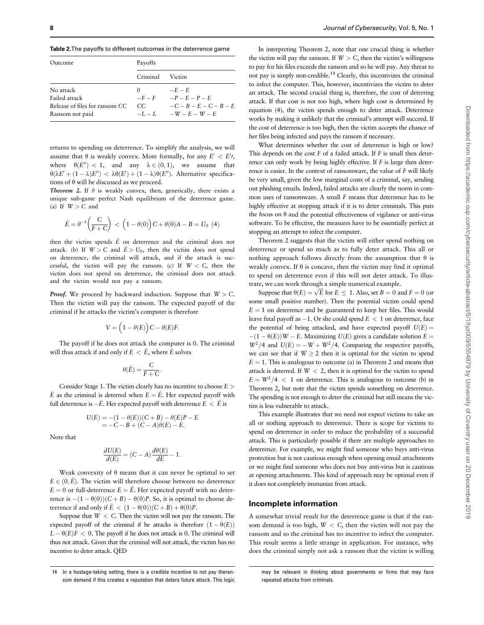<span id="page-8-0"></span>Table 2.The payoffs to different outcomes in the deterrence game

| Outcome                        | Payoffs  |                           |
|--------------------------------|----------|---------------------------|
|                                | Criminal | Victim                    |
| No attack                      | $\Omega$ | $-E-E$                    |
| Failed attack                  |          | $-F-F$ $-P-F-P-F$         |
| Release of files for ransom CC | CC.      | $-C-B-E-C-B-E$            |
| Ransom not paid                |          | $-I - I$ $-W - E - W - E$ |

returns to spending on deterrence. To simplify the analysis, we will assume that  $\theta$  is weakly convex. More formally, for any  $E' < E'$ , where  $\theta(E'')$  < 1, and any  $\lambda \in (0,1)$ , we assume that  $\theta(\lambda E' + (1 - \lambda)E'') < \lambda \theta(E') + (1 - \lambda)\theta(E'')$ . Alternative specifications of  $\theta$  will be discussed as we proceed.

Theorem 2. If  $\theta$  is weakly convex, then, generically, there exists a unique sub-game perfect Nash equilibrium of the deterrence game. (a) If  $W > C$  and

$$
\hat{E} = \theta^{-1} \left( \frac{C}{F+C} \right) < \left( 1 - \theta(0) \right) C + \theta(0) A - B = U_0 \tag{4}
$$

then the victim spends  $\hat{E}$  on deterrence and the criminal does not attack. (b) If  $W > C$  and  $\hat{E} > U_0$ , then the victim does not spend on deterrence, the criminal will attack, and if the attack is successful, the victim will pay the ransom. (c) If  $W < C$ , then the victim does not spend on deterrence, the criminal does not attack and the victim would not pay a ransom.

**Proof.** We proceed by backward induction. Suppose that  $W > C$ . Then the victim will pay the ransom. The expected payoff of the criminal if he attacks the victim's computer is therefore

$$
V = \left(1 - \theta(E)\right)C - \theta(E)F.
$$

The payoff if he does not attack the computer is 0. The criminal will thus attack if and only if  $E < \hat{E}$ , where  $\hat{E}$  solves

$$
\theta(\hat{E}) = \frac{C}{F+C}.
$$

Consider Stage 1. The victim clearly has no incentive to choose  $E >$  $\hat{E}$  as the criminal is deterred when  $E = \hat{E}$ . Her expected payoff with full deterrence is  $-\hat{E}$ . Her expected payoff with deterrence  $E < \hat{E}$  is

$$
U(E) = -(1 - \theta(E))(C + B) - \theta(E)P - E = -C - B + (C - A)\theta(E) - E.
$$

Note that

$$
\frac{dU(E)}{d(E)} = (C - A)\frac{d\theta(E)}{dE} - 1.
$$

Weak convexity of  $\theta$  means that it can never be optimal to set  $E \in (0, \hat{E})$ . The victim will therefore choose between no deterrence  $E = 0$  or full-deterrence  $E = \hat{E}$ . Her expected payoff with no deterrence is  $-(1 - \theta(0))(C + B) - \theta(0)P$ . So, it is optimal to choose deterrence if and only if  $\hat{E} < (1 - \theta(0))(C + B) + \theta(0)P$ .

Suppose that  $W < C$ . Then the victim will not pay the ransom. The expected payoff of the criminal if he attacks is therefore  $(1 - \theta(E))$  $L - \theta(E)F < 0$ . The payoff if he does not attack is 0. The criminal will thus not attack. Given that the criminal will not attack, the victim has no incentive to deter attack. QED

In interpreting Theorem 2, note that one crucial thing is whether the victim will pay the ransom. If  $W > C$ , then the victim's willingness to pay for his files exceeds the ransom and so he will pay. Any threat to not pay is simply non-credible.14 Clearly, this incentivizes the criminal to infect the computer. This, however, incentivizes the victim to deter an attack. The second crucial thing is, therefore, the cost of deterring attack. If that cost is not too high, where high cost is determined by equation (4), the victim spends enough to deter attack. Deterrence works by making it unlikely that the criminal's attempt will succeed. If the cost of deterrence is too high, then the victim accepts the chance of her files being infected and pays the ransom if necessary.

What determines whether the cost of deterrence is high or low? This depends on the cost  $F$  of a failed attack. If  $F$  is small then deterrence can only work by being highly effective. If F is large then deterrence is easier. In the context of ransomware, the value of F will likely be very small, given the low marginal costs of a criminal, say, sending out phishing emails. Indeed, failed attacks are clearly the norm in common uses of ransomware. A small F means that deterrence has to be highly effective at stopping attack if it is to deter criminals. This puts the focus on  $\theta$  and the potential effectiveness of vigilance or anti-virus software. To be effective, the measures have to be essentially perfect at stopping an attempt to infect the computer.

Theorem 2 suggests that the victim will either spend nothing on deterrence or spend so much as to fully deter attack. This all or nothing approach follows directly from the assumption that  $\theta$  is weakly convex. If  $\theta$  is concave, then the victim may find it optimal to spend on deterrence even if this will not deter attack. To illustrate, we can work through a simple numerical example.

Suppose that  $\theta(E) = \sqrt{E}$  for  $E \le 1$ . Also, set  $B = 0$  and  $F = 0$  (or some small positive number). Then the potential victim could spend  $E = 1$  on deterrence and be guaranteed to keep her files. This would leave final payoff as  $-1$ . Or she could spend  $E < 1$  on deterrence, face the potential of being attacked, and have expected payoff  $U(E)$  =  $-(1 - \theta(E))$ W – E. Maximizing  $U(E)$  gives a candidate solution  $E =$  $W^2/4$  and  $U(E) = -W + W^2/4$ . Comparing the respective payoffs, we can see that if  $W \ge 2$  then it is optimal for the victim to spend  $E = 1$ . This is analogous to outcome (a) in Theorem 2 and means that attack is deterred. If  $W < 2$ , then it is optimal for the victim to spend  $E = W^2/4 < 1$  on deterrence. This is analogous to outcome (b) in Theorem 2, but note that the victim spends something on deterrence. The spending is not enough to deter the criminal but still means the victim is less vulnerable to attack.

This example illustrates that we need not expect victims to take an all or nothing approach to deterrence. There is scope for victims to spend on deterrence in order to reduce the probability of a successful attack. This is particularly possible if there are multiple approaches to deterrence. For example, we might find someone who buys anti-virus protection but is not cautious enough when opening email attachments or we might find someone who does not buy anti-virus but is cautious at opening attachments. This kind of approach may be optimal even if it does not completely immunize from attack.

#### Incomplete information

A somewhat trivial result for the deterrence game is that if the ransom demand is too high,  $W < C$ , then the victim will not pay the ransom and so the criminal has no incentive to infect the computer. This result seems a little strange in application. For instance, why does the criminal simply not ask a ransom that the victim is willing

<sup>14</sup> In a hostage-taking setting, there is a credible incentive to not pay theransom demand if this creates a reputation that deters future attack. This logic

may be relevant in thinking about governments or firms that may face repeated attacks from criminals.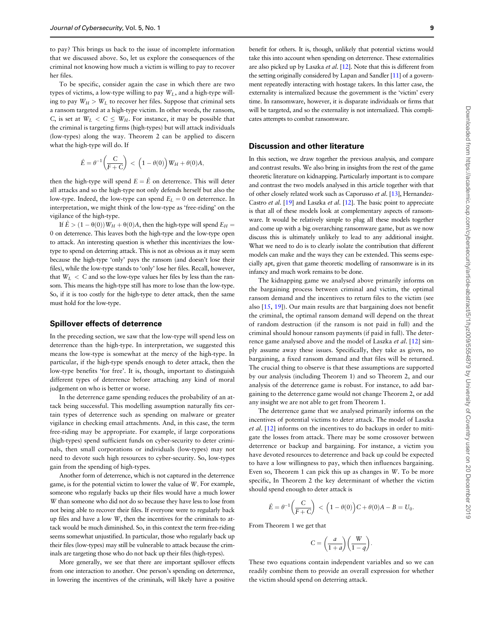to pay? This brings us back to the issue of incomplete information that we discussed above. So, let us explore the consequences of the criminal not knowing how much a victim is willing to pay to recover her files.

To be specific, consider again the case in which there are two types of victims, a low-type willing to pay  $W_L$ , and a high-type willing to pay  $W_H > W_L$  to recover her files. Suppose that criminal sets a ransom targeted at a high-type victim. In other words, the ransom, C, is set at  $W_L < C \leq W_H$ . For instance, it may be possible that the criminal is targeting firms (high-types) but will attack individuals (low-types) along the way. Theorem 2 can be applied to discern what the high-type will do. If

$$
\hat{E} = \theta^{-1} \left( \frac{C}{F+C} \right) < \left( 1 - \theta(0) \right) W_H + \theta(0) A,
$$

then the high-type will spend  $E = \hat{E}$  on deterrence. This will deter all attacks and so the high-type not only defends herself but also the low-type. Indeed, the low-type can spend  $E_L = 0$  on deterrence. In interpretation, we might think of the low-type as 'free-riding' on the vigilance of the high-type.

If  $\hat{E} > (1 - \theta(0))W_H + \theta(0)A$ , then the high-type will spend  $E_H$  = 0 on deterrence. This leaves both the high-type and the low-type open to attack. An interesting question is whether this incentivizes the lowtype to spend on deterring attack. This is not as obvious as it may seem because the high-type 'only' pays the ransom (and doesn't lose their files), while the low-type stands to 'only' lose her files. Recall, however, that  $W_L < C$  and so the low-type values her files by less than the ransom. This means the high-type still has more to lose than the low-type. So, if it is too costly for the high-type to deter attack, then the same must hold for the low-type.

#### Spillover effects of deterrence

In the preceding section, we saw that the low-type will spend less on deterrence than the high-type. In interpretation, we suggested this means the low-type is somewhat at the mercy of the high-type. In particular, if the high-type spends enough to deter attack, then the low-type benefits 'for free'. It is, though, important to distinguish different types of deterrence before attaching any kind of moral judgement on who is better or worse.

In the deterrence game spending reduces the probability of an attack being successful. This modelling assumption naturally fits certain types of deterrence such as spending on malware or greater vigilance in checking email attachments. And, in this case, the term free-riding may be appropriate. For example, if large corporations (high-types) spend sufficient funds on cyber-security to deter criminals, then small corporations or individuals (low-types) may not need to devote such high resources to cyber-security. So, low-types gain from the spending of high-types.

Another form of deterrence, which is not captured in the deterrence game, is for the potential victim to lower the value of W. For example, someone who regularly backs up their files would have a much lower W than someone who did not do so because they have less to lose from not being able to recover their files. If everyone were to regularly back up files and have a low W, then the incentives for the criminals to attack would be much diminished. So, in this context the term free-riding seems somewhat unjustified. In particular, those who regularly back up their files (low-types) may still be vulnerable to attack because the criminals are targeting those who do not back up their files (high-types).

More generally, we see that there are important spillover effects from one interaction to another. One person's spending on deterrence, in lowering the incentives of the criminals, will likely have a positive

benefit for others. It is, though, unlikely that potential victims would take this into account when spending on deterrence. These externalities are also picked up by Laszka et al. [\[12](#page-11-0)]. Note that this is different from the setting originally considered by Lapan and Sandler [[11](#page-11-0)] of a government repeatedly interacting with hostage takers. In this latter case, the externality is internalized because the government is the 'victim' every time. In ransomware, however, it is disparate individuals or firms that will be targeted, and so the externality is not internalized. This complicates attempts to combat ransomware.

#### Discussion and other literature

In this section, we draw together the previous analysis, and compare and contrast results. We also bring in insights from the rest of the game theoretic literature on kidnapping. Particularly important is to compare and contrast the two models analysed in this article together with that of other closely related work such as Caporusso et al. [\[13\]](#page-11-0), Hernandez-Castro et al. [\[19\]](#page-11-0) and Laszka et al. [\[12\]](#page-11-0). The basic point to appreciate is that all of these models look at complementary aspects of ransomware. It would be relatively simple to plug all these models together and come up with a big overarching ransomware game, but as we now discuss this is ultimately unlikely to lead to any additional insight. What we need to do is to clearly isolate the contribution that different models can make and the ways they can be extended. This seems especially apt, given that game theoretic modelling of ransomware is in its infancy and much work remains to be done.

The kidnapping game we analysed above primarily informs on the bargaining process between criminal and victim, the optimal ransom demand and the incentives to return files to the victim (see also [[15,](#page-11-0) [19\]](#page-11-0)). Our main results are that bargaining does not benefit the criminal, the optimal ransom demand will depend on the threat of random destruction (if the ransom is not paid in full) and the criminal should honour ransom payments (if paid in full). The deter-rence game analysed above and the model of Laszka et al. [[12](#page-11-0)] simply assume away these issues. Specifically, they take as given, no bargaining, a fixed ransom demand and that files will be returned. The crucial thing to observe is that these assumptions are supported by our analysis (including Theorem 1) and so Theorem 2, and our analysis of the deterrence game is robust. For instance, to add bargaining to the deterrence game would not change Theorem 2, or add any insight we are not able to get from Theorem 1.

The deterrence game that we analysed primarily informs on the incentives of potential victims to deter attack. The model of Laszka et al. [[12](#page-11-0)] informs on the incentives to do backups in order to mitigate the losses from attack. There may be some crossover between deterrence or backup and bargaining. For instance, a victim you have devoted resources to deterrence and back up could be expected to have a low willingness to pay, which then influences bargaining. Even so, Theorem 1 can pick this up as changes in W. To be more specific, In Theorem 2 the key determinant of whether the victim should spend enough to deter attack is

$$
\hat{E} = \theta^{-1}\left(\frac{C}{F+C}\right) < \left(1 - \theta(0)\right)C + \theta(0)A - B = U_0.
$$

From Theorem 1 we get that

$$
C = \left(\frac{a}{1+a}\right) \left(\frac{W}{1-q}\right).
$$

These two equations contain independent variables and so we can readily combine them to provide an overall expression for whether the victim should spend on deterring attack.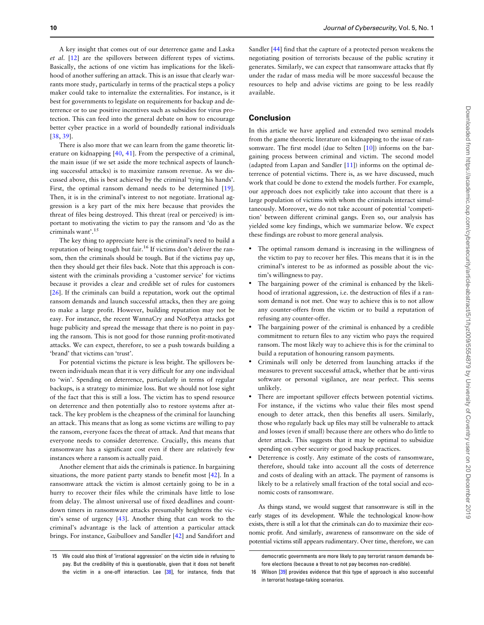<span id="page-10-0"></span>A key insight that comes out of our deterrence game and Laska et al. [\[12\]](#page-11-0) are the spillovers between different types of victims. Basically, the actions of one victim has implications for the likelihood of another suffering an attack. This is an issue that clearly warrants more study, particularly in terms of the practical steps a policy maker could take to internalize the externalities. For instance, is it best for governments to legislate on requirements for backup and deterrence or to use positive incentives such as subsidies for virus protection. This can feed into the general debate on how to encourage better cyber practice in a world of boundedly rational individuals [[38,](#page-11-0) [39\]](#page-12-0).

There is also more that we can learn from the game theoretic literature on kidnapping [\[40](#page-12-0), [41\]](#page-12-0). From the perspective of a criminal, the main issue (if we set aside the more technical aspects of launching successful attacks) is to maximize ransom revenue. As we discussed above, this is best achieved by the criminal 'tying his hands'. First, the optimal ransom demand needs to be determined [\[19](#page-11-0)]. Then, it is in the criminal's interest to not negotiate. Irrational aggression is a key part of the mix here because that provides the threat of files being destroyed. This threat (real or perceived) is important to motivating the victim to pay the ransom and 'do as the criminals want'.15

The key thing to appreciate here is the criminal's need to build a reputation of being tough but fair.<sup>16</sup> If victims don't deliver the ransom, then the criminals should be tough. But if the victims pay up, then they should get their files back. Note that this approach is consistent with the criminals providing a 'customer service' for victims because it provides a clear and credible set of rules for customers [[26\]](#page-11-0). If the criminals can build a reputation, work out the optimal ransom demands and launch successful attacks, then they are going to make a large profit. However, building reputation may not be easy. For instance, the recent WannaCry and NotPetya attacks got huge publicity and spread the message that there is no point in paying the ransom. This is not good for those running profit-motivated attacks. We can expect, therefore, to see a push towards building a 'brand' that victims can 'trust'.

For potential victims the picture is less bright. The spillovers between individuals mean that it is very difficult for any one individual to 'win'. Spending on deterrence, particularly in terms of regular backups, is a strategy to minimize loss. But we should not lose sight of the fact that this is still a loss. The victim has to spend resource on deterrence and then potentially also to restore systems after attack. The key problem is the cheapness of the criminal for launching an attack. This means that as long as some victims are willing to pay the ransom, everyone faces the threat of attack. And that means that everyone needs to consider deterrence. Crucially, this means that ransomware has a significant cost even if there are relatively few instances where a ransom is actually paid.

Another element that aids the criminals is patience. In bargaining situations, the more patient party stands to benefit most [[42](#page-12-0)]. In a ransomware attack the victim is almost certainly going to be in a hurry to recover their files while the criminals have little to lose from delay. The almost universal use of fixed deadlines and countdown timers in ransomware attacks presumably heightens the victim's sense of urgency [[43](#page-12-0)]. Another thing that can work to the criminal's advantage is the lack of attention a particular attack brings. For instance, Gaibulloev and Sandler [\[42](#page-12-0)] and Sandifort and

Sandler [[44\]](#page-12-0) find that the capture of a protected person weakens the negotiating position of terrorists because of the public scrutiny it generates. Similarly, we can expect that ransomware attacks that fly under the radar of mass media will be more successful because the resources to help and advise victims are going to be less readily available.

#### Conclusion

In this article we have applied and extended two seminal models from the game theoretic literature on kidnapping to the issue of ransomware. The first model (due to Selten [[10\]](#page-11-0)) informs on the bargaining process between criminal and victim. The second model (adapted from Lapan and Sandler [\[11](#page-11-0)]) informs on the optimal deterrence of potential victims. There is, as we have discussed, much work that could be done to extend the models further. For example, our approach does not explicitly take into account that there is a large population of victims with whom the criminals interact simultaneously. Moreover, we do not take account of potential 'competition' between different criminal gangs. Even so, our analysis has yielded some key findings, which we summarize below. We expect these findings are robust to more general analysis.

- The optimal ransom demand is increasing in the willingness of the victim to pay to recover her files. This means that it is in the criminal's interest to be as informed as possible about the victim's willingness to pay.
- The bargaining power of the criminal is enhanced by the likelihood of irrational aggression, i.e. the destruction of files if a ransom demand is not met. One way to achieve this is to not allow any counter-offers from the victim or to build a reputation of refusing any counter-offer.
- The bargaining power of the criminal is enhanced by a credible commitment to return files to any victim who pays the required ransom. The most likely way to achieve this is for the criminal to build a reputation of honouring ransom payments.
- Criminals will only be deterred from launching attacks if the measures to prevent successful attack, whether that be anti-virus software or personal vigilance, are near perfect. This seems unlikely.
- There are important spillover effects between potential victims. For instance, if the victims who value their files most spend enough to deter attack, then this benefits all users. Similarly, those who regularly back up files may still be vulnerable to attack and losses (even if small) because there are others who do little to deter attack. This suggests that it may be optimal to subsidize spending on cyber security or good backup practices.
- Deterrence is costly. Any estimate of the costs of ransomware, therefore, should take into account all the costs of deterrence and costs of dealing with an attack. The payment of ransoms is likely to be a relatively small fraction of the total social and economic costs of ransomware.

As things stand, we would suggest that ransomware is still in the early stages of its development. While the technological know-how exists, there is still a lot that the criminals can do to maximize their economic profit. And similarly, awareness of ransomware on the side of potential victims still appears rudimentary. Over time, therefore, we can

<sup>15</sup> We could also think of 'irrational aggression' on the victim side in refusing to pay. But the credibility of this is questionable, given that it does not benefit the victim in a one-off interaction. Lee [[38\]](#page-11-0), for instance, finds that

democratic governments are more likely to pay terrorist ransom demands before elections (because a threat to not pay becomes non-credible).

<sup>16</sup> Wilson [[39](#page-12-0)] provides evidence that this type of approach is also successful in terrorist hostage-taking scenarios.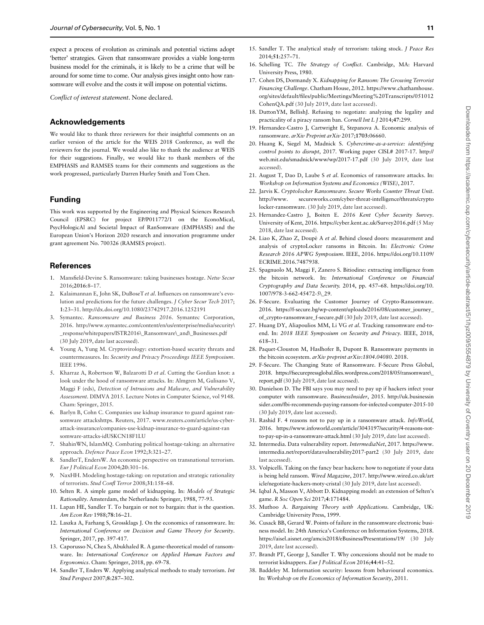<span id="page-11-0"></span>expect a process of evolution as criminals and potential victims adopt 'better' strategies. Given that ransomware provides a viable long-term business model for the criminals, it is likely to be a crime that will be around for some time to come. Our analysis gives insight onto how ransomware will evolve and the costs it will impose on potential victims.

Conflict of interest statement. None declared.

#### Acknowledgements

We would like to thank three reviewers for their insightful comments on an earlier version of the article for the WEIS 2018 Conference, as well the reviewers for the journal. We would also like to thank the audience at WEIS for their suggestions. Finally, we would like to thank members of the EMPHASIS and RAMSES teams for their comments and suggestions as the work progressed, particularly Darren Hurley Smith and Tom Chen.

#### Funding

This work was supported by the Engineering and Physical Sciences Research Council (EPSRC) for project EP/P011772/1 on the EconoMical, PsycHologicAl and Societal Impact of RanSomware (EMPHASIS) and the European Union's Horizon 2020 research and innovation programme under grant agreement No. 700326 (RAMSES project).

#### **References**

- [1](#page-1-0). Mansfield-Devine S. Ransomware: taking businesses hostage. Netw Secur 2016;2016:8–17.
- [2](#page-1-0). Kalaimannan E, John SK, DuBoseT et al. Influences on ransomware's evolution and predictions for the future challenges. J Cyber Secur Tech 2017; 1:23–31.<http://dx.doi.org/10.1080/23742917.2016.1252191>
- [3](#page-1-0). Symantec. Ransomware and Business 2016. Symantec Corporation, 2016. [http://www.symantec.com/content/en/us/enterprise/media/security\](http://www.symantec.com/content/en/us/enterprise/media/security_response/whitepapers/ISTR2016_Ransomware_and_Businesses.pdf) [\\_response/whitepapers/ISTR2016\\\_Ransomware\\\_and\\\_Businesses.pdf](http://www.symantec.com/content/en/us/enterprise/media/security_response/whitepapers/ISTR2016_Ransomware_and_Businesses.pdf) (30 July 2019, date last accessed).
- [4](#page-1-0). Young A, Yung M. Cryptovirology: extortion-based security threats and countermeasures. In: Security and Privacy Proceedings IEEE Symposium. IEEE 1996.
- [5](#page-1-0). Kharraz A, Robertson W, Balzarotti D et al. Cutting the Gordian knot: a look under the hood of ransomware attacks. In: Almgren M, Gulisano V, Maggi F (eds), Detection of Intrusions and Malware, and Vulnerability Assessment. DIMVA 2015. Lecture Notes in Computer Science, vol 9148. Cham: Springer, 2015.
- [6](#page-1-0). Barlyn B, Cohn C. Companies use kidnap insurance to guard against ransomware attackshttps. Reuters, 2017. [www.reuters.com/article/us-cyber](http://www.reuters.com/article/us-cyber-attack-insurance/companies-use-kidnap-insurance-to-guard-against-ransomware-attacks-idUSKCN18F1LU)[attack-insurance/companies-use-kidnap-insurance-to-guard-against-ran](http://www.reuters.com/article/us-cyber-attack-insurance/companies-use-kidnap-insurance-to-guard-against-ransomware-attacks-idUSKCN18F1LU) [somware-attacks-idUSKCN18F1LU](http://www.reuters.com/article/us-cyber-attack-insurance/companies-use-kidnap-insurance-to-guard-against-ransomware-attacks-idUSKCN18F1LU)
- 7. ShahinWN, IslamMQ. Combating political hostage-taking: an alternative approach. Defence Peace Econ 1992;3:321–27.
- [8](#page-7-0). SandlerT, EndersW. An economic perspective on transnational terrorism. Eur J Political Econ 2004;20:301–16.
- [9](#page-5-0). NaxHH. Modeling hostage-taking: on reputation and strategic rationality of terrorists. Stud Confl Terror 2008;31:158–68.
- [10.](#page-1-0) Selten R. A simple game model of kidnapping. In: Models of Strategic Rationality. Amsterdam, the Netherlands: Springer, 1988, 77-93.
- [11.](#page-1-0) Lapan HE, Sandler T. To bargain or not to bargain: that is the question. Am Econ Rev 1988;78:16–21.
- [12.](#page-2-0) Laszka A, Farhang S, Grossklags J. On the economics of ransomware. In: International Conference on Decision and Game Theory for Security. Springer, 2017, pp. 397-417.
- [13.](#page-2-0) Caporusso N, Chea S, Abukhaled R. A game-theoretical model of ransomware. In: International Conference on Applied Human Factors and Ergonomics. Cham: Springer, 2018, pp. 69-78.
- [14.](#page-2-0) Sandler T, Enders W. Applying analytical methods to study terrorism. Int Stud Perspect 2007;8:287–302.
- [15.](#page-2-0) Sandler T. The analytical study of terrorism: taking stock. J Peace Res 2014;51:257–71.
- [16.](#page-2-0) Schelling TC. The Strategy of Conflict. Cambridge, MA: Harvard University Press, 1980.
- [17.](#page-2-0) Cohen DS, Dormandy X. Kidnapping for Ransom: The Growing Terrorist Financing Challenge. Chatham House, 2012. [https://www.chathamhouse.](https://www.chathamhouse.org/sites/default/files/public/Meetings/Meeting%20Transcripts/051012CohenQA.pdf) [org/sites/default/files/public/Meetings/Meeting%20Transcripts/051012](https://www.chathamhouse.org/sites/default/files/public/Meetings/Meeting%20Transcripts/051012CohenQA.pdf) [CohenQA.pdf](https://www.chathamhouse.org/sites/default/files/public/Meetings/Meeting%20Transcripts/051012CohenQA.pdf) (30 July 2019, date last accessed).
- [18.](#page-2-0) DuttonYM, BellishJ. Refusing to negotiate: analyzing the legality and practicality of a piracy ransom ban. Cornell Int L J 2014;47:299.
- [19.](#page-2-0) Hernandez-Castro J, Cartwright E, Stepanova A. Economic analysis of ransomware. arXiv Preprint arXiv 2017;1703:06660.
- [20.](#page-2-0) Huang K, Siegel M, Madnick S. Cybercrime-as-a-service: identifying control points to disrupt, 2017. Working paper CISL# 2017-17. [http://](http://web.mit.edu/smadnick/www/wp/2017-17.pdf) [web.mit.edu/smadnick/www/wp/2017-17.pdf](http://web.mit.edu/smadnick/www/wp/2017-17.pdf) (30 July 2019, date last accessed).
- [21.](#page-2-0) August T, Dao D, Laube S et al. Economics of ransomware attacks. In: Workshop on Information Systems and Economics (WISE), 2017.
- [22.](#page-2-0) Jarvis K. Cryptolocker Ransomware. Secure Works Counter Threat Unit. [http://www. secureworks.com/cyber-threat-intelligence/threats/crypto](http://www. secureworks.com/cyber-threat-intelligence/threats/cryptolocker-ransomware) [locker-ransomware](http://www. secureworks.com/cyber-threat-intelligence/threats/cryptolocker-ransomware). (30 July 2019, date last accessed).
- [23.](#page-2-0) Hernandez-Castro J, Boiten E. 2016 Kent Cyber Security Survey. University of Kent, 2016.<https://cyber.kent.ac.uk/Survey2016.pdf> (5 May 2018, date last accessed).
- [24.](#page-2-0) Liao K, Zhao Z, Doupé A et al. Behind closed doors: measurement and analysis of cryptoLocker ransoms in Bitcoin. In: Electronic Crime Research 2016 APWG Symposium. IEEE, 2016. [https://doi.org/10.1109/](https://doi.org/10.1109/ECRIME.2016.7487938) [ECRIME.2016.7487938](https://doi.org/10.1109/ECRIME.2016.7487938).
- [25.](#page-2-0) Spagnuolo M, Maggi F, Zanero S. Bitiodine: extracting intelligence from the bitcoin network. In: International Conference on Financial Cryptography and Data Security. 2014, pp. 457–68. [https://doi.org/10.](https://doi.org/10.1007/978-3-662-45472-5_29) [1007/978-3-662-45472-5\\\_29](https://doi.org/10.1007/978-3-662-45472-5_29).
- [26.](#page-3-0) F-Secure. Evaluating the Customer Journey of Crypto-Ransomware. 2016. [https://f-secure.bg/wp-content/uploads/2016/08/customer\\_journey\\_](https://f-secure.bg/wp-content/uploads/2016/08/customer_journey_of_crypto-ransomware_f-secure.pdf) [of\\_crypto-ransomware\\_f-secure.pdf](https://f-secure.bg/wp-content/uploads/2016/08/customer_journey_of_crypto-ransomware_f-secure.pdf) (30 July 2019, date last accessed).
- [27.](#page-3-0) Huang DY, Aliapoulios MM, Li VG et al. Tracking ransomware end-toend. In: 2018 IEEE Symposium on Security and Privacy. IEEE, 2018, 618–31.
- [28.](#page-3-0) Paquet-Clouston M, Haslhofer B, Dupont B. Ransomware payments in the bitcoin ecosystem. arXiv preprint arXiv:1804.04080. 2018.
- [29.](#page-3-0) F-Secure. The Changing State of Ransomware. F-Secure Press Global, 2018. [https://fsecurepressglobal.files.wordpress.com/2018/05/ransomware\\\_](https://fsecurepressglobal.files.wordpress.com/2018/05/ransomware_report.pdf) [report.pdf](https://fsecurepressglobal.files.wordpress.com/2018/05/ransomware_report.pdf) (30 July 2019, date last accessed).
- [30.](#page-3-0) Danielson D. The FBI says you may need to pay up if hackers infect your computer with ransomware. BusinessInsider, 2015. [http://uk.businessin](http://uk.businessinsider.com/fbi-recommends-paying-ransom-for-infected-computer-2015-10) [sider.com/fbi-recommends-paying-ransom-for-infected-computer-2015-10](http://uk.businessinsider.com/fbi-recommends-paying-ransom-for-infected-computer-2015-10) (30 July 2019, date last accessed).
- [31.](#page-3-0) Rashid F. 4 reasons not to pay up in a ransomware attack. InfoWorld, 2016. [https://www.infoworld.com/article/3043197/security/4-reasons-not](https://www.infoworld.com/article/3043197/security/4-reasons-not-to-pay-up-in-a-ransomware-attack.html)[to-pay-up-in-a-ransomware-attack.html](https://www.infoworld.com/article/3043197/security/4-reasons-not-to-pay-up-in-a-ransomware-attack.html) (30 July 2019, date last accessed).
- [32.](#page-3-0) Intermedia. Data vulnerability report. IntermediaNet, 2017. [https://www.](https://www.intermedia.net/report/datavulnerability2017-part2) [intermedia.net/report/datavulnerability2017-part2](https://www.intermedia.net/report/datavulnerability2017-part2) (30 July 2019, date last accessed).
- [33.](#page-3-0) Volpicelli. Taking on the fancy bear hackers: how to negotiate if your data is being held ransom. Wired Magazine, 2017. [http://www.wired.co.uk/art](http://www.wired.co.uk/article/negotiate-hackers-moty-cristal) [icle/negotiate-hackers-moty-cristal](http://www.wired.co.uk/article/negotiate-hackers-moty-cristal) (30 July 2019, date last accessed).
- [34.](#page-4-0) Iqbal A, Masson V, Abbott D. Kidnapping model: an extension of Selten's game. R Soc Open Sci 2017;4:171484.
- [35.](#page-5-0) Muthoo A. Bargaining Theory with Applications. Cambridge, UK: Cambridge University Press, 1999.
- [36.](#page-6-0) Cusack BB, Gerard W. Points of failure in the ransomware electronic business model. In: 24th America's Conference on Information Systems, 2018. <https://aisel.aisnet.org/amcis2018/eBusiness/Presentations/19/> (30 July 2019, date last accessed).
- [37.](#page-7-0) Brandt PT, George J, Sandler T. Why concessions should not be made to terrorist kidnappers. Eur J Political Econ 2016;44:41-52.
- [38.](#page-10-0) Baddeley M. Information security: lessons from behavioural economics. In: Workshop on the Economics of Information Security, 2011.